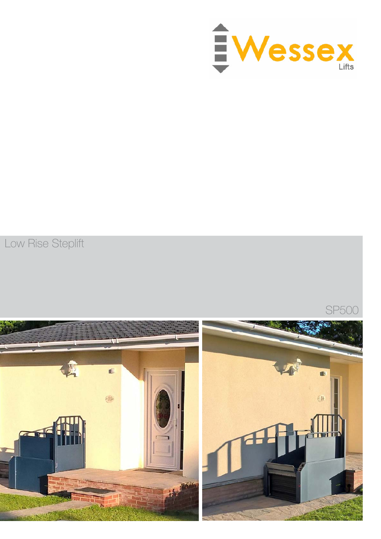

Low Rise Steplift

SP500

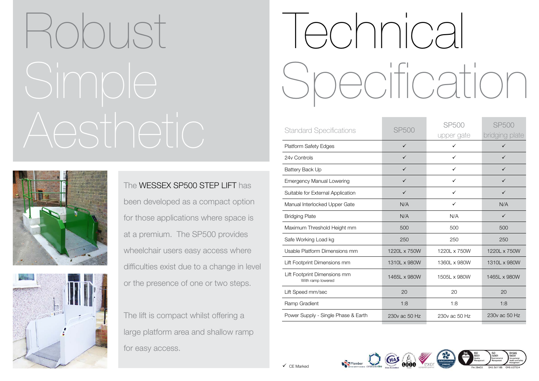| <b>SP500</b>  | <b>SP500</b><br>upper ga |
|---------------|--------------------------|
| $\checkmark$  |                          |
| ✓             |                          |
| ✓             | ✓                        |
| ✓             | ✓                        |
| $\checkmark$  | ✓                        |
| N/A           | $\checkmark$             |
| N/A           | N/A                      |
| 500           | 500                      |
| 250           | 250                      |
| 1220L x 750W  | 1220L x 750              |
| 1310L x 980W  | 1360L x 980              |
| 1465L x 980W  | 1505L x 980              |
| 20            | 20                       |
| 1:8           | 1:8                      |
| 230v ac 50 Hz | 230v ac 50               |
|               |                          |



| <b>SP500</b>  | <b>SP500</b>  | <b>SP500</b>   |
|---------------|---------------|----------------|
|               | upper gate    | bridging plate |
| $\checkmark$  | ✓             | ✓              |
| $\checkmark$  | $\checkmark$  | ✓              |
| $\checkmark$  | $\checkmark$  | ✓              |
| ✓             | ✓             |                |
| ✓             | ✓             | ✓              |
| N/A           | $\checkmark$  | N/A            |
| N/A           | N/A           | ✓              |
| 500           | 500           | 500            |
| 250           | 250           | 250            |
| 1220L x 750W  | 1220L x 750W  | 1220L x 750W   |
| 1310L x 980W  | 1360L x 980W  | 1310L x 980W   |
| 1465L x 980W  | 1505L x 980W  | 1465L x 980W   |
| 20            | 20            | 20             |
| 1:8           | 1:8           | 1:8            |
| 230v ac 50 Hz | 230y ac 50 Hz | 230y ac 50 Hz  |









## Robust Simple Aesthetic





The WESSEX SP500 STEP LIFT has been developed as a compact option for those applications where space is at a premium. The SP500 provides wheelchair users easy access where difficulties exist due to a change in level or the presence of one or two steps.

The lift is compact whilst offering a large platform area and shallow ramp for easy access.